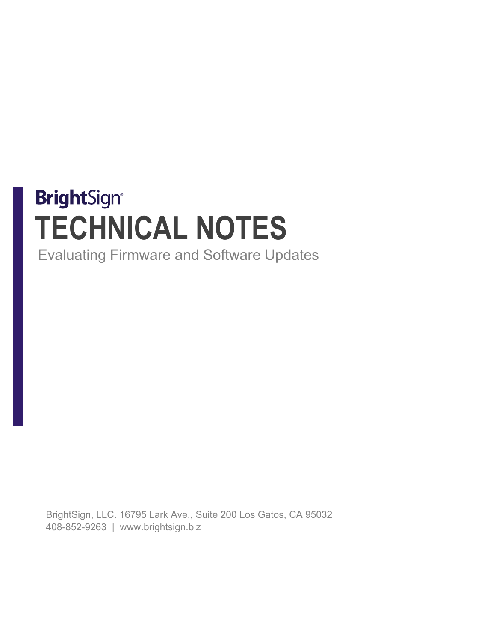# **BrightSign® TECHNICAL NOTES**

Evaluating Firmware and Software Updates

BrightSign, LLC. 16795 Lark Ave., Suite 200 Los Gatos, CA 95032 408-852-9263 | www.brightsign.biz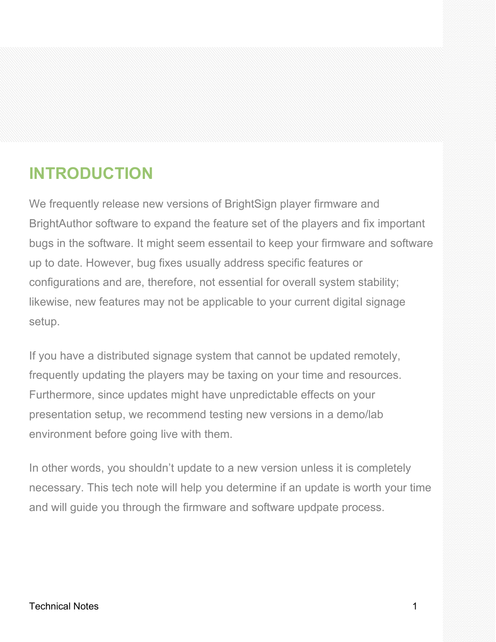## **INTRODUCTION**

We frequently release new versions of BrightSign player firmware and BrightAuthor software to expand the feature set of the players and fix important bugs in the software. It might seem essentail to keep your firmware and software up to date. However, bug fixes usually address specific features or configurations and are, therefore, not essential for overall system stability; likewise, new features may not be applicable to your current digital signage setup.

If you have a distributed signage system that cannot be updated remotely, frequently updating the players may be taxing on your time and resources. Furthermore, since updates might have unpredictable effects on your presentation setup, we recommend testing new versions in a demo/lab environment before going live with them.

In other words, you shouldn't update to a new version unless it is completely necessary. This tech note will help you determine if an update is worth your time and will guide you through the firmware and software updpate process.

#### Technical Notes 1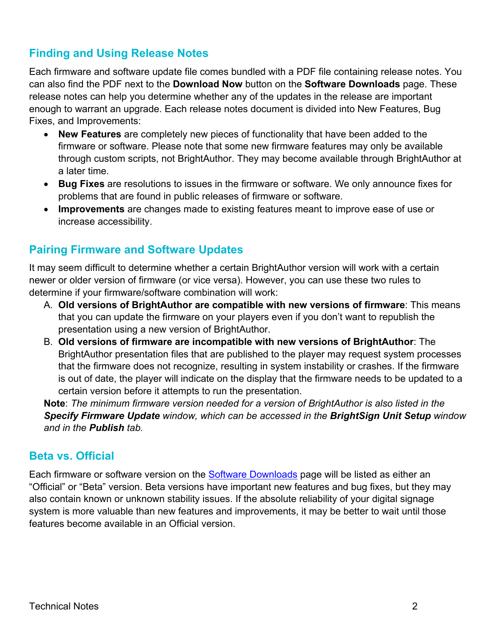### **Finding and Using Release Notes**

Each firmware and software update file comes bundled with a PDF file containing release notes. You can also find the PDF next to the **Download Now** button on the **Software Downloads** page. These release notes can help you determine whether any of the updates in the release are important enough to warrant an upgrade. Each release notes document is divided into New Features, Bug Fixes, and Improvements:

- **New Features** are completely new pieces of functionality that have been added to the firmware or software. Please note that some new firmware features may only be available through custom scripts, not BrightAuthor. They may become available through BrightAuthor at a later time.
- **Bug Fixes** are resolutions to issues in the firmware or software. We only announce fixes for problems that are found in public releases of firmware or software.
- **Improvements** are changes made to existing features meant to improve ease of use or increase accessibility.

#### **Pairing Firmware and Software Updates**

It may seem difficult to determine whether a certain BrightAuthor version will work with a certain newer or older version of firmware (or vice versa). However, you can use these two rules to determine if your firmware/software combination will work:

- A. **Old versions of BrightAuthor are compatible with new versions of firmware**: This means that you can update the firmware on your players even if you don't want to republish the presentation using a new version of BrightAuthor.
- B. **Old versions of firmware are incompatible with new versions of BrightAuthor**: The BrightAuthor presentation files that are published to the player may request system processes that the firmware does not recognize, resulting in system instability or crashes. If the firmware is out of date, the player will indicate on the display that the firmware needs to be updated to a certain version before it attempts to run the presentation.

**Note**: *The minimum firmware version needed for a version of BrightAuthor is also listed in the Specify Firmware Update window, which can be accessed in the BrightSign Unit Setup window and in the Publish tab.*

#### **Beta vs. Official**

Each firmware or software version on the [Software Downloads](http://support.brightsign.biz/entries/314637-BrightSign-Downloads) page will be listed as either an "Official" or "Beta" version. Beta versions have important new features and bug fixes, but they may also contain known or unknown stability issues. If the absolute reliability of your digital signage system is more valuable than new features and improvements, it may be better to wait until those features become available in an Official version.